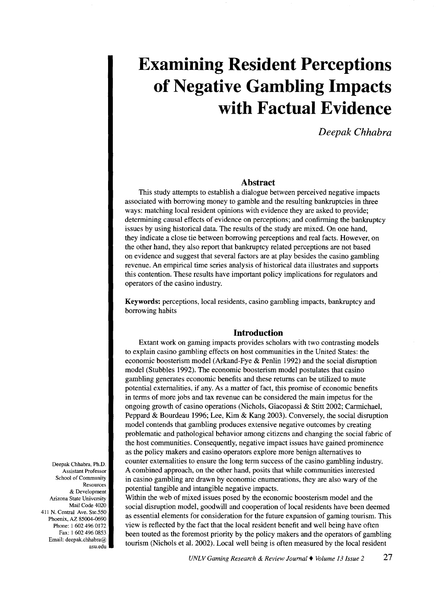# **Examining Resident Perceptions of Negative Gambling Impacts with Factual Evidence**

*Deepak Chhabra* 

# **Abstract**

This study attempts to establish a dialogue between perceived negative impacts associated with borrowing money to gamble and the resulting bankruptcies in three ways: matching local resident opinions with evidence they are asked to provide; determining causal effects of evidence on perceptions; and confirming the bankruptcy issues by using historical data. The results of the study are mixed. On one hand, they indicate a close tie between borrowing perceptions and real facts. However, on the other hand, they also report that bankruptcy related perceptions are not based on evidence and suggest that several factors are at play besides the casino gambling revenue. An empirical time series analysis of historical data illustrates and supports this contention. These results have important policy implications for regulators and operators of the casino industry.

Keywords: perceptions, local residents, casino gambling impacts, bankruptcy and borrowing habits

# **Introduction**

Extant work on gaming impacts provides scholars with two contrasting models to explain casino gambling effects on host communities in the United States: the economic boosterism model (Arkand-Fye & Penlin 1992) and the social disruption model (Stubbles 1992). The economic boosterism model postulates that casino gambling generates economic benefits and these returns can be utilized to mute potential externalities, if any. As a matter of fact, this promise of economic benefits in terms of more jobs and tax revenue can be considered the main impetus for the ongoing growth of casino operations (Nichols, Giacopassi & Stitt 2002; Carmichael, Peppard & Bourdeau 1996; Lee, Kim & Kang 2003). Conversely, the social disruption model contends that gambling produces extensive negative outcomes by creating problematic and pathological behavior among citizens and changing the social fabric of the host communities. Consequently, negative impact issues have gained prominence as the policy makers and casino operators explore more benign alternatives to counter externalities to ensure the long term success of the casino gambling industry. A combined approach, on the other hand, posits that while communities interested in casino gambling are drawn by economic enumerations, they are also wary of the potential tangible and intangible negative impacts.

Within the web of mixed issues posed by the economic boosterism model and the social disruption model, goodwill and cooperation of local residents have been deemed as essential elements for consideration for the future expansion of gaming tourism. This view is reflected by the fact that the local resident benefit and well being have often been touted as the foremost priority by the policy makers and the operators of gambling tourism (Nichols et al. 2002). Local well being is often measured by the local resident

Deepak Chhabra, Ph.D. Assistant Professor School of Community Resources & Development Arizona State University Mail Code 4020 411 N. Central Ave. Ste 550 Phoenix, AZ 85004-0690 Phone: I 602 496 0172 Fax: I 602 496 0853 Email: deepak.chhabra@ asu.edu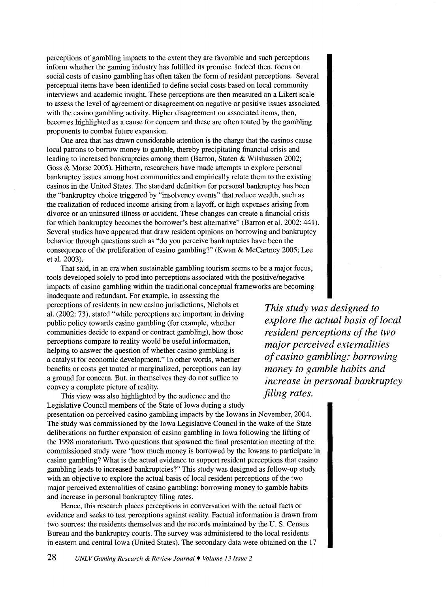perceptions of gambling impacts to the extent they are favorable and such perceptions inform whether the gaming industry has fulfilled its promise. Indeed then, focus on social costs of casino gambling has often taken the form of resident perceptions. Several perceptual items have been identified to define social costs based on local community interviews and academic insight. These perceptions are then measured on a Likert scale to assess the level of agreement or disagreement on negative or positive issues associated with the casino gambling activity. Higher disagreement on associated items, then, becomes highlighted as a cause for concern and these are often touted by the gambling proponents to combat future expansion.

One area that has drawn considerable attention is the charge that the casinos cause local patrons to borrow money to gamble, thereby precipitating financial crisis and leading to increased bankruptcies among them (Barron, Staten & Wilshussen 2002; Goss & Morse 2005). Hitherto, researchers have made attempts to explore personal bankruptcy issues among host communities and empirically relate them to the existing casinos in the United States. The standard definition for personal bankruptcy has been the "bankruptcy choice triggered by "insolvency events" that reduce wealth, such as the realization of reduced income arising from a layoff, or high expenses arising from divorce or an uninsured illness or accident. These changes can create a financial crisis for which bankruptcy becomes the borrower's best alternative" (Barron et al. 2002: 441). Several studies have appeared that draw resident opinions on borrowing and bankruptcy behavior through questions such as "do you perceive bankruptcies have been the consequence of the proliferation of casino gambling?" (Kwan & McCartney 2005; Lee et al. 2003).

That said, in an era when sustainable gambling tourism seems to be a major focus, tools developed solely to prod into perceptions associated with the positive/negative impacts of casino gambling within the traditional conceptual frameworks are becoming

inadequate and redundant. For example, in assessing the perceptions of residents in new casino jurisdictions, Nichols et al. (2002: 73), stated "while perceptions are important in driving public policy towards casino gambling (for example, whether communities decide to expand or contract gambling), how those perceptions compare to reality would be useful information, helping to answer the question of whether casino gambling is a catalyst for economic development." In other words, whether benefits or costs get touted or marginalized, perceptions can lay a ground for concern. But, in themselves they do not suffice to convey a complete picture of reality.

This view was also highlighted by the audience and the Legislative Council members of the State of Iowa during a study presentation on perceived casino gambling impacts by the Iowans in November, 2004. The study was commissioned by the Iowa Legislative Council in the wake of the State deliberations on further expansion of casino gambling in Iowa following the lifting of the 1998 moratorium. Two questions that spawned the final presentation meeting of the commissioned study were "how much money is borrowed by the Iowans to participate in casino gambling? What is the actual evidence to support resident perceptions that casino gambling leads to increased bankruptcies?" This study was designed as follow-up study with an objective to explore the actual basis of local resident perceptions of the two major perceived externalities of casino gambling: borrowing money to gamble habits and increase in personal bankruptcy filing rates.

Hence, this research places perceptions in conversation with the actual facts or evidence and seeks to test perceptions against reality. Factual information is drawn from two sources: the residents themselves and the records maintained by the U. S. Census Bureau and the bankruptcy courts. The survey was administered to the local residents in eastern and central Iowa (United States). The secondary data were obtained on the 17

*This study was designed to explore the actual basis of local resident perceptions of the two major perceived externalities of casino gambling: borrowing money to gamble habits and increase in personal bankruptcy filing rates.*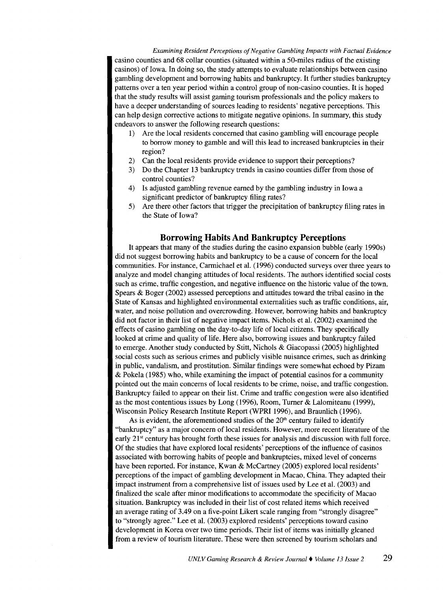*Examining Resident Perceptions of Negative Gambling Impacts with Factual Evidence*  casino counties and 68 collar counties (situated within a 50-miles radius of the existing casinos) of Iowa. In doing so, the study attempts to evaluate relationships between casino gambling development and borrowing habits and bankruptcy. It further studies bankruptcy patterns over a ten year period within a control group of non-casino counties. It is hoped that the study results will assist gaming tourism professionals and the policy makers to have a deeper understanding of sources leading to residents' negative perceptions. This can help design corrective actions to mitigate negative opinions. In summary, this study endeavors to answer the following research questions:

- I) Are the local residents concerned that casino gambling will encourage people to borrow money to gamble and will this lead to increased bankruptcies in their region?
- 2) Can the local residents provide evidence to support their perceptions?
- 3) Do the Chapter 13 bankruptcy trends in casino counties differ from those of control counties?
- 4) Is adjusted gambling revenue earned by the gambling industry in Iowa a significant predictor of bankruptcy filing rates?
- 5) Are there other factors that trigger the precipitation of bankruptcy filing rates in the State of Iowa?

# **Borrowing Habits And Bankruptcy Perceptions**

It appears that many of the studies during the casino expansion bubble (early 1990s) did not suggest borrowing habits and bankruptcy to be a cause of concern for the local communities. For instance, Carmichael et al. (1996) conducted surveys over three years to analyze and model changing attitudes of local residents. The authors identified social costs such as crime, traffic congestion, and negative influence on the historic value of the town. Spears & Boger (2002) assessed perceptions and attitudes toward the tribal casino in the State of Kansas and highlighted environmental externalities such as traffic conditions, air, water, and noise pollution and overcrowding. However, borrowing habits and bankruptcy did not factor in their list of negative impact items. Nichols et al. (2002) examined the effects of casino gambling on the day-to-day life of local citizens. They specifically looked at crime and quality of life. Here also, borrowing issues and bankruptcy failed to emerge. Another study conducted by Stitt, Nichols & Giacopassi (2005) highlighted social costs such as serious crimes and publicly visible nuisance crimes, such as drinking in public, vandalism, and prostitution. Similar findings were somewhat echoed by Pizam & Pokela (1985) who, while examining the impact of potential casinos for a community pointed out the main concerns of local residents to be crime, noise, and traffic congestion. Bankruptcy failed to appear on their list. Crime and traffic congestion were also identified as the most contentious issues by Long (1996), Room, Turner & Lalomiteanu (1999), Wisconsin Policy Research Institute Report (WPRI 1996), and Braunlich (1996).

As is evident, the aforementioned studies of the  $20<sup>th</sup>$  century failed to identify "bankruptcy" as a major concern of local residents. However, more recent literature of the early 21<sup>st</sup> century has brought forth these issues for analysis and discussion with full force. Of the studies that have explored local residents' perceptions of the influence of casinos associated with borrowing habits of people and bankruptcies, mixed level of concerns have been reported. For instance, Kwan & McCartney (2005) explored local residents' perceptions of the impact of gambling development in Macao, China. They adapted their impact instrument from a comprehensive list of issues used by Lee et al. (2003) and finalized the scale after minor modifications to accommodate the specificity of Macao situation. Bankruptcy was included in their list of cost related items which received an average rating of 3.49 on a five-point Likert scale ranging from "strongly disagree" to "strongly agree." Lee et al. (2003) explored residents' perceptions toward casino development in Korea over two time periods. Their list of items was initially gleaned from a review of tourism literature. These were then screened by tourism scholars and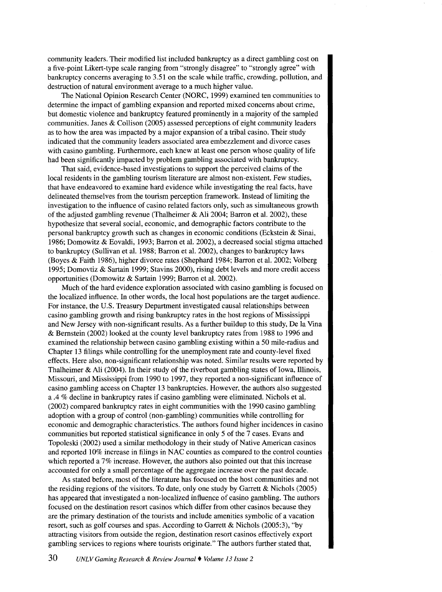community leaders. Their modified list included bankruptcy as a direct gambling cost on a five-point Likert-type scale ranging from "strongly disagree" to "strongly agree" with bankruptcy concerns averaging to 3.51 on the scale while traffic, crowding, pollution, and destruction of natural environment average to a much higher value.

The National Opinion Research Center (NORC, 1999) examined ten communities to determine the impact of gambling expansion and reported mixed concerns about crime, but domestic violence and bankruptcy featured prominently in a majority of the sampled communities. Janes & Collison (2005) assessed perceptions of eight community leaders as to how the area was impacted by a major expansion of a tribal casino. Their study indicated that the community leaders associated area embezzlement and divorce cases with casino gambling. Furthermore, each knew at least one person whose quality of life had been significantly impacted by problem gambling associated with bankruptcy.

That said, evidence-based investigations to support the perceived claims of the local residents in the gambling tourism literature are almost non-existent. Few studies, that have endeavored to examine hard evidence while investigating the real facts, have delineated themselves from the tourism perception framework. Instead of limiting the investigation to the influence of casino related factors only, such as simultaneous growth of the adjusted gambling revenue (Thalheimer & Ali 2004; Barron et al. 2002), these hypothesize that several social, economic, and demographic factors contribute to the personal bankruptcy growth such as changes in economic conditions (Eckstein & Sinai, 1986; Domowitz & Eovaldi, 1993; Barron et al. 2002), a decreased social stigma attached to bankruptcy (Sullivan et al. 1988; Barron et al. 2002), changes to bankruptcy laws (Boyes & Faith 1986), higher divorce rates (Shephard 1984; Barron et al. 2002; Volberg 1995; Domovtiz & Sartain 1999; Stavins 2000), rising debt levels and more credit access opportunities (Domowitz & Sartain 1999; Barron et al. 2002).

Much of the hard evidence exploration associated with casino gambling is focused on the localized influence. In other words, the local host populations are the target audience. For instance, the U.S. Treasury Department investigated causal relationships between casino gambling growth and rising bankruptcy rates in the host regions of Mississippi and New Jersey with non-significant results. As a further buildup to this study, De la Vina & Bernstein (2002) looked at the county level bankruptcy rates from 1988 to 1996 and examined the relationship between casino gambling existing within a 50 mile-radius and Chapter 13 filings while controlling for the unemployment rate and county-level fixed effects. Here also, non-significant relationship was noted. Similar results were reported by Thalheimer & Ali (2004). In their study of the riverboat gambling states of Iowa, Illinois, Missouri, and Mississippi from 1990 to 1997, they reported a non-significant influence of casino gambling access on Chapter 13 bankruptcies. However, the authors also suggested a .4 % decline in bankruptcy rates if casino gambling were eliminated. Nichols et al. (2002) compared bankruptcy rates in eight communities with the 1990 casino gambling adoption with a group of control (non-gambling) communities while controlling for economic and demographic characteristics. The authors found higher incidences in casino communities but reported statistical significance in only 5 of the 7 cases. Evans and Topoleski (2002) used a similar methodology in their study of Native American casinos and reported 10% increase in filings in NAC counties as compared to the control counties which reported a 7% increase. However, the authors also pointed out that this increase accounted for only a small percentage of the aggregate increase over the past decade.

As stated before, most of the literature has focused on the host communities and not the residing regions of the visitors. To date, only one study by Garrett  $\&$  Nichols (2005) has appeared that investigated a non-localized influence of casino gambling. The authors focused on the destination resort casinos which differ from other casinos because they are the primary destination of the tourists and include amenities symbolic of a vacation resort, such as golf courses and spas. According to Garrett & Nichols (2005:3), "by attracting visitors from outside the region, destination resort casinos effectively export gambling services to regions where tourists originate." The authors further stated that,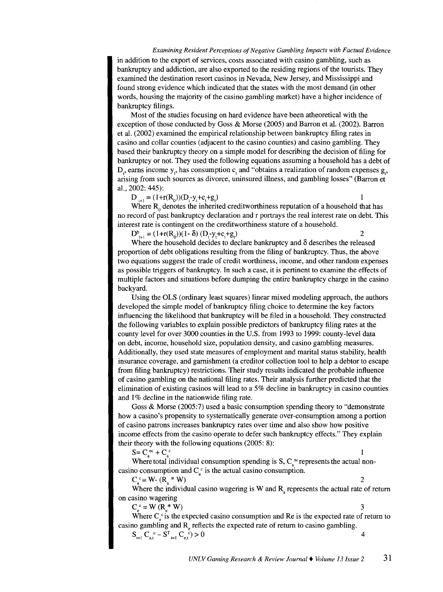#### *Examining Resident Perceptions of Negative Gambling Impacts with Factual Evidence*

in addition to the export of services, costs associated with casino gambling, such as bankruptcy and addiction, are also exported to the residing regions of the tourists. They examined the destination resort casinos in Nevada, New Jersey, and Mississippi and found strong evidence which indicated that the states with the most demand (in other words, housing the majority of the casino gambling market) have a higher incidence of bankruptcy filings.

Most of the studies focusing on hard evidence have been atheoretical with the exception of those conducted by Goss & Morse (2005) and Barron et al. (2002). Barron et al. (2002) examined the empirical relationship between bankruptcy filing rates in casino and collar counties (adjacent to the casino counties) and casino gambling. They based their bankruptcy theory on a simple model for describing the decision of filing for bankruptcy or not. They used the following equations assuming a household has a debt of D<sub>r</sub>, earns income y<sub>r</sub>, has consumption c, and "obtains a realization of random expenses g<sub>n</sub>, arising from such sources as divorce, uninsured illness, and gambling losses" (Barron et al., 2002: 445):

 $D_{t+1} = (1 + r(R_0))(D_t - y_t + c_t + g_t)$ 

Where  $R_0$  denotes the inherited creditworthiness reputation of a household that has no record of past bankruptcy declaration and r portrays the real interest rate on debt. This interest rate is contingent on the creditworthiness stature of a household.

 $D_{t+1}^{b} = (1+r(R_0))(1-\delta) (D_t-y_t+c_t+g_t)$  2

Where the household decides to declare bankruptcy and  $\delta$  describes the released proportion of debt obligations resulting from the filing of bankruptcy. Thus, the above two equations suggest the trade of credit worthiness, income, and other random expenses as possible triggers of bankruptcy. In such a case, it is pertinent to examine the effects of multiple factors and situations before dumping the entire bankruptcy charge in the casino backyard.

Using the OLS (ordinary least squares) linear mixed modeling approach, the authors developed the simple model of bankruptcy filing choice to determine the key factors influencing the likelihood that bankruptcy will be filed in a household. They constructed the following variables to explain possible predictors of bankruptcy filing rates at the county level for over 3000 counties in the U.S. from 1993 to 1999: county-level data on debt, income, household size, population density, and casino gambling measures. Additionally, they used state measures of employment and marital status stability, health insurance coverage, and garnishment (a creditor collection tool to help a debtor to escape from filing bankruptcy) restrictions. Their study results indicated the probable influence of casino gambling on the national filing rates. Their analysis further predicted that the elimination of existing casinos will lead to a 5% decline in bankruptcy in casino counties and 1% decline in the nationwide filing rate.

Goss & Morse (2005:7) used a basic consumption spending theory to "demonstrate how a casino's propensity to systematically generate over-consumption among a portion of casino patrons increases bankruptcy rates over time and also show how positive income effects from the casino operate to defer such bankruptcy effects." They explain their theory with the following equations (2005: 8):

 $S = C_a^{\nc{nc}} + C_a^{\nc{nc}}$  1

 $\mathbf{1}$ 

Where total individual consumption spending is  $S, C<sub>s</sub>$ <sup>nc</sup> represents the actual noncasino consumption and  $C<sub>c</sub>$  is the actual casino consumption.

 $C_{\alpha}^{\ c} = W_{-} (R_{\alpha} * W)$  2

Where the individual casino wagering is W and  $R<sub>a</sub>$  represents the actual rate of return on casino wagering

 $C_c^c = W(R^*W)$  $*W$ ) 3

Where  $C_c$  is the expected casino consumption and Re is the expected rate of return to casino gambling and  $R_{\alpha}$  reflects the expected rate of return to casino gambling.

$$
S_{t=1}^{\ c} C_{a,t}^{\ c} - S_{t=1}^{\ c} C_{e,t}^{\ c} > 0
$$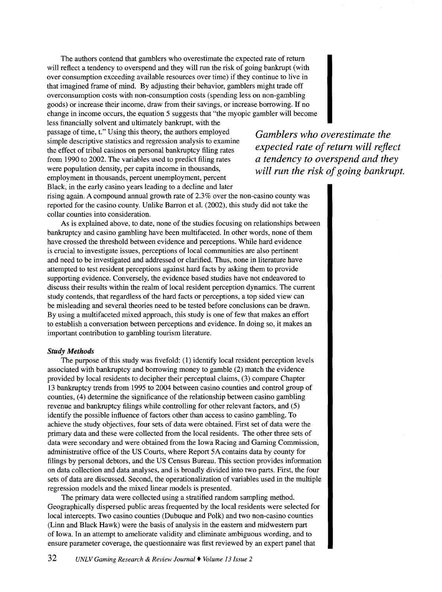The authors contend that gamblers who overestimate the expected rate of return will reflect a tendency to overspend and they will run the risk of going bankrupt (with over consumption exceeding available resources over time) if they continue to live in that imagined frame of mind. By adjusting their behavior, gamblers might trade off overconsumption costs with non-consumption costs (spending less on non-gambling goods) or increase their income, draw from their savings, or increase borrowing. If no change in income occurs, the equation 5 suggests that "the myopic gambler will become

less financially solvent and ultimately bankrupt, with the passage of time, t." Using this theory, the authors employed simple descriptive statistics and regression analysis to examine the effect of tribal casinos on personal bankruptcy filing rates from 1990 to 2002. The variables used to predict filing rates were population density, per capita income in thousands, employment in thousands, percent unemployment, percent Black, in the early casino years leading to a decline and later

*Gamblers who overestimate the expected rate of return will reflect a tendency to overspend and they will run the risk of going bankrupt.* 

rising again. A compound annual growth rate of 2.3% over the non-casino county was reported for the casino county. Unlike Barron et al. (2002), this study did not take the collar counties into consideration.

As is explained above, to date, none of the studies focusing on relationships between bankruptcy and casino gambling have been multifaceted. In other words, none of them have crossed the threshold between evidence and perceptions. While hard evidence is crucial to investigate issues, perceptions of local communities are also pertinent and need to be investigated and addressed or clarified. Thus, none in literature have attempted to test resident perceptions against hard facts by asking them to provide supporting evidence. Conversely, the evidence based studies have not endeavored to discuss their results within the realm of local resident perception dynamics. The current study contends, that regardless of the hard facts or perceptions, a top sided view can be misleading and several theories need to be tested before conclusions can be drawn. By using a multifaceted mixed approach, this study is one of few that makes an effort to establish a conversation between perceptions and evidence. In doing so, it makes an important contribution to gambling tourism literature.

## *Study Methods*

The purpose of this study was fivefold: (1) identify local resident perception levels associated with bankruptcy and borrowing money to gamble (2) match the evidence provided by local residents to decipher their perceptual claims, (3) compare Chapter 13 bankruptcy trends from 1995 to 2004 between casino counties and control group of counties, ( 4) determine the significance of the relationship between casino gambling revenue and bankruptcy filings while controlling for other relevant factors, and (5) identify the possible influence of factors other than access to casino gambling. To achieve the study objectives, four sets of data were obtained. First set of data were the primary data and these were collected from the local residents. The other three sets of data were secondary and were obtained from the Iowa Racing and Gaming Commission, administrative office of the US Courts, where Report SA contains data by county for filings by personal debtors, and the US Census Bureau. This section provides information on data collection and data analyses, and is broadly divided into two parts. First, the four sets of data are discussed. Second, the operationalization of variables used in the multiple regression models and the mixed linear models is presented.

The primary data were collected using a stratified random sampling method. Geographically dispersed public areas frequented by the local residents were selected for local intercepts. Two casino counties (Dubuque and Polk) and two non-casino counties (Linn and Black Hawk) were the basis of analysis in the eastern and midwestern part of Iowa. In an attempt to ameliorate validity and eliminate ambiguous wording, and to ensure parameter coverage, the questionnaire was first reviewed by an expert panel that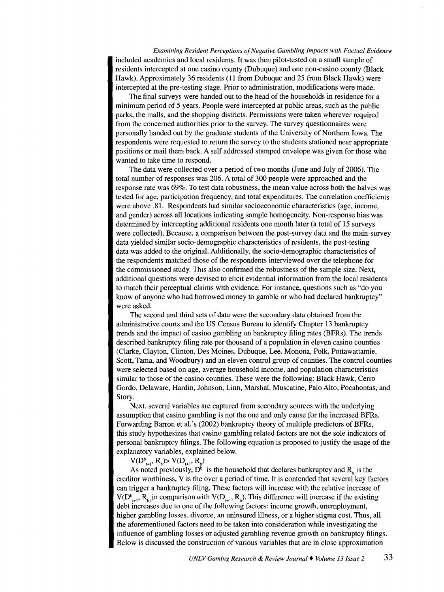*Examining Resident Perceptions of Negative Gambling Impacts with Factual Evidence*  included academics and local residents. It was then pilot-tested on a small sample of residents intercepted at one casino county (Dubuque) and one non-casino county (Black Hawk). Approximately 36 residents (11 from Dubuque and 25 from Black Hawk) were intercepted at the pre-testing stage. Prior to administration, modifications were made.

The final surveys were handed out to the head of the households in residence for a minimum period of 5 years. People were intercepted at public areas, such as the public parks, the malls, and the shopping districts. Permissions were taken wherever required from the concerned authorities prior to the survey. The survey questionnaires were personally handed out by the graduate students of the University of Northern Iowa. The respondents were requested to return the survey to the students stationed near appropriate positions or mail them back. A self addressed stamped envelope was given for those who wanted to take time to respond.

The data were collected over a period of two months (June and July of 2006). The total number of responses was 206. A total of 300 people were approached and the response rate was 69%. To test data robustness, the mean value across both the halves was tested for age, participation frequency, and total expenditures. The correlation coefficients were above .81. Respondents had similar socioeconomic characteristics (age, income, and gender) across all locations indicating sample homogeneity. Non-response bias was determined by intercepting additional residents one month later (a total of 15 surveys were collected). Because, a comparison between the post-survey data and the main-survey data yielded similar socio-demographic characteristics of residents, the post-testing data was added to the original. Additionally, the socio-demographic characteristics of the respondents matched those of the respondents interviewed over the telephone for the commissioned study. This also confirmed the robustness of the sample size. Next, additional questions were devised to elicit evidential information from the local residents to match their perceptual claims with evidence. For instance, questions such as "do you know of anyone who had borrowed money to gamble or who had declared bankruptcy" were asked.

The second and third sets of data were the secondary data obtained from the administrative courts and the US Census Bureau to identify Chapter 13 bankruptcy trends and the impact of casino gambling on bankruptcy filing rates (BFRs). The trends described bankruptcy filing rate per thousand of a population in eleven casino counties (Clarke, Clayton, Clinton, Des Moines, Dubuque, Lee, Monona, Polk, Pottawattarnie, Scott, Tama, and Woodbury) and an eleven control group of counties. The control counties were selected based on age, average household income, and population characteristics similar to those of the casino counties. These were the following: Black Hawk, Cerro Gordo, Delaware, Hardin, Johnson, Linn, Marshal, Muscatine, Palo Alto, Pocahontas, and Story.

Next, several variables are captured from secondary sources with the underlying assumption that casino gambling is not the one and only cause for the increased BFRs. Forwarding Barron et al.'s (2002) bankruptcy theory of multiple predictors of BFRs, this study hypothesizes that casino gambling related factors are not the sole indicators of personal bankruptcy filings. The following equation is proposed to justify the usage of the explanatory variables, explained below.

 $V(D_{t+1}^b, R_b) > V(D_{t+1}, R_b)$ 

As noted previously,  $D^b$  is the household that declares bankruptcy and  $R_a$  is the creditor worthiness, V is the over a period of time. It is contended that several key factors can trigger a bankruptcy filing. These factors will increase with the relative increase of  $V(D^b_{t+1}, R_b)$  in comparison with  $V(D_{t+1}, R_b)$ . This difference will increase if the existing debt increases due to one of the following factors: income growth, unemployment, higher gambling losses, divorce, an uninsured illness, or a higher stigma cost. Thus, all the aforementioned factors need to be taken into consideration while investigating the influence of gambling losses or adjusted gambling revenue growth on bankruptcy filings. Below is discussed the construction of various variables that are in close approximation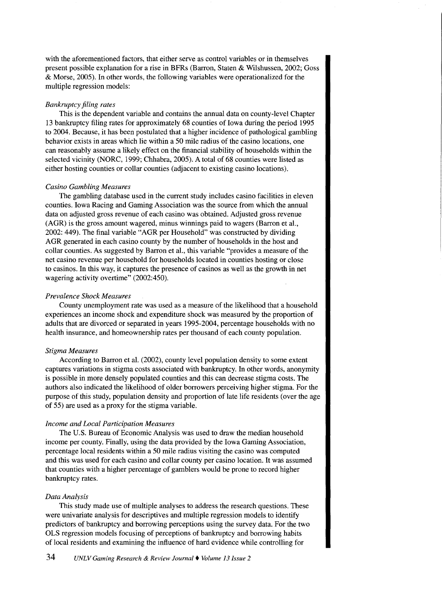with the aforementioned factors, that either serve as control variables or in themselves present possible explanation for a rise in BFRs (Barron, Staten & Wilshussen, 2002; Goss & Morse, 2005). In other words, the following variables were operationalized for the multiple regression models:

## *Bankruptcy filing rates*

This is the dependent variable and contains the annual data on county-level Chapter 13 bankruptcy filing rates for approximately 68 counties of Iowa during the period 1995 to 2004. Because, it has been postulated that a higher incidence of pathological gambling behavior exists in areas which lie within a 50 mile radius of the casino locations, one can reasonably assume a likely effect on the financial stability of households within the selected vicinity (NORC, 1999; Chhabra, 2005). A total of 68 counties were listed as either hosting counties or collar counties (adjacent to existing casino locations).

#### *Casino Gambling Measures*

The gambling database used in the current study includes casino facilities in eleven counties. Iowa Racing and Gaming Association was the source from which the annual data on adjusted gross revenue of each casino was obtained. Adjusted gross revenue (AGR) is the gross amount wagered, minus winnings paid to wagers (Barron et al., 2002: 449). The final variable "AGR per Household" was constructed by dividing AGR generated in each casino county by the number of households in the host and collar counties. As suggested by Barron et al., this variable "provides a measure of the net casino revenue per household for households located in counties hosting or close to casinos. In this way, it captures the presence of casinos as well as the growth in net wagering activity overtime" (2002:450).

## *Prevalence Shock Measures*

County unemployment rate was used as a measure of the likelihood that a household experiences an income shock and expenditure shock was measured by the proportion of adults that are divorced or separated in years 1995-2004, percentage households with no health insurance, and homeownership rates per thousand of each county population.

#### *Stigma Measures*

According to Barron et al. (2002), county level population density to some extent captures variations in stigma costs associated with bankruptcy. In other words, anonymity is possible in more densely populated counties and this can decrease stigma costs. The authors also indicated the likelihood of older borrowers perceiving higher stigma. For the purpose of this study, population density and proportion of late life residents (over the age of 55) are used as a proxy for the stigma variable.

#### *Income and Local Participation Measures*

The U.S. Bureau of Economic Analysis was used to draw the median household income per county. Finally, using the data provided by the Iowa Gaming Association, percentage local residents within a 50 mile radius visiting the casino was computed and this was used for each casino and collar county per casino location. It was assumed that counties with a higher percentage of gamblers would be prone to record higher bankruptcy rates.

#### *Data Analysis*

This study made use of multiple analyses to address the research questions. These were univariate analysis for descriptives and multiple regression models to identify predictors of bankruptcy and borrowing perceptions using the survey data. For the two OLS regression models focusing of perceptions of bankruptcy and borrowing habits of local residents and examining the influence of hard evidence while controlling for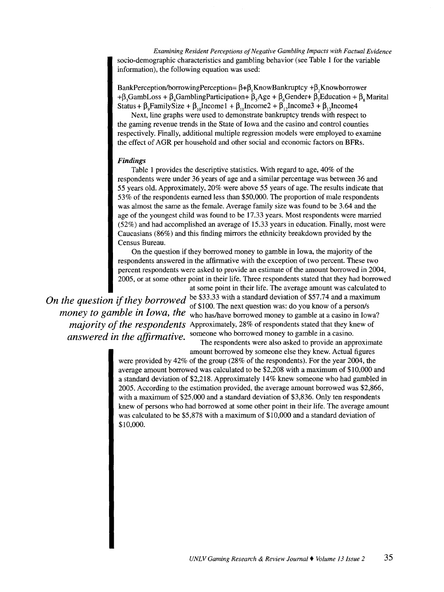*Examining Resident Perceptions of Negative Gambling Impacts with Factual Evidence*  socio-demographic characteristics and gambling behavior (see Table 1 for the variable information), the following equation was used:

BankPerception/borrowingPerception=  $\beta + \beta$ , Know Bankruptcy + $\beta$ , Knowborrower + $\beta$ ,GambLoss +  $\beta$ ,GamblingParticipation+  $\beta$ ,Age +  $\beta$ ,Gender+  $\beta$ ,Education +  $\beta$ , Marital Status +  $\beta_0$  FamilySize +  $\beta_{10}$ Income1 +  $\beta_{11}$ Income2 +  $\beta_{12}$ Income3 +  $\beta_{13}$ Income4

Next, line graphs were used to demonstrate bankruptcy trends with respect to the gaming revenue trends in the State of Iowa and the casino and control counties respectively. Finally, additional multiple regression models were employed to examine the effect of AGR per household and other social and economic factors on BFRs.

## *Findings*

Table 1 provides the descriptive statistics. With regard to age, 40% of the respondents were under 36 years of age and a similar percentage was between 36 and 55 years old. Approximately, 20% were above 55 years of age. The results indicate that 53% of the respondents earned less than \$50,000. The proportion of male respondents was almost the same as the female. Average family size was found to be 3.64 and the age of the youngest child was found to be 17.33 years. Most respondents were married (52%) and had accomplished an average of 15.33 years in education. Finally, most were Caucasians (86%) and this finding mirrors the ethnicity breakdown provided by the Census Bureau.

On the question if they borrowed money to gamble in Iowa, the majority of the respondents answered in the affirmative with the exception of two percent. These two percent respondents were asked to provide an estimate of the amount borrowed in 2004, 2005, or at some other point in their life. Three respondents stated that they had borrowed

at some point in their life. The average amount was calculated to *On the question if they borrowed* be \$33.33 with a standard deviation of \$57.74 and a maximum . of \$100. The next question was: do you know of a person/s *money to gamble in Iowa, the* who has/have borrowed money to gamble at a casino in Iowa? *majority of the respondents* Approximately, 28% of respondents stated that they knew of *answered in the affirmative.* <sup>someone who borrowed money to gamble in a casino.</sup>

The respondents were also asked to provide an approximate amount borrowed by someone else they knew. Actual figures

were provided by 42% of the group (28% of the respondents). For the year 2004, the average amount borrowed was calculated to be \$2,208 with a maximum of \$10,000 and a standard deviation of \$2,218. Approximately 14% knew someone who had gambled in 2005. According to the estimation provided, the average amount borrowed was \$2,866, with a maximum of \$25,000 and a standard deviation of \$3,836. Only ten respondents knew of persons who had borrowed at some other point in their life. The average amount was calculated to be \$5,878 with a maximum of \$10,000 and a standard deviation of \$10,000.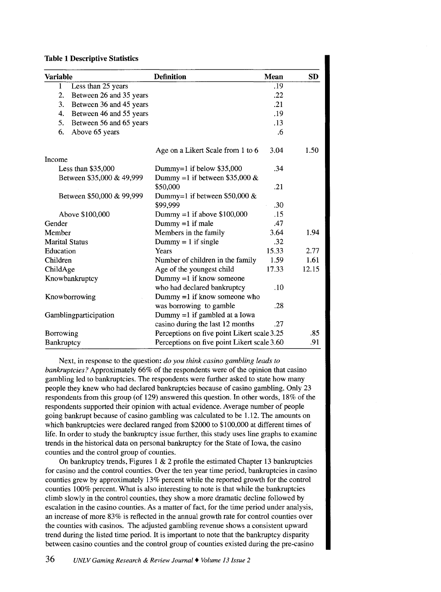#### Table 1 Descriptive Statistics

| <b>Variable</b>           |                           | <b>Definition</b>                           | <b>Mean</b> | <b>SD</b> |
|---------------------------|---------------------------|---------------------------------------------|-------------|-----------|
| $\mathbf{1}$              | Less than 25 years        |                                             | .19         |           |
| 2.                        | Between 26 and 35 years   |                                             | .22         |           |
| 3.                        | Between 36 and 45 years   |                                             | .21         |           |
| 4.                        | Between 46 and 55 years   |                                             | .19         |           |
| 5.                        | Between 56 and 65 years   |                                             | .13         |           |
| 6.                        | Above 65 years            |                                             | .6          |           |
|                           |                           | Age on a Likert Scale from 1 to 6           | 3.04        | 1.50      |
| Income                    |                           |                                             |             |           |
|                           | Less than $$35,000$       | Dummy=1 if below $$35,000$                  | .34         |           |
|                           | Between \$35,000 & 49,999 | Dummy =1 if between \$35,000 $&$            |             |           |
|                           |                           | \$50,000                                    | .21         |           |
| Between \$50,000 & 99,999 |                           | Dummy=1 if between \$50,000 $&$             |             |           |
|                           |                           | \$99,999                                    | .30         |           |
| Above \$100,000           |                           | Dummy =1 if above $$100,000$                | .15         |           |
| Gender                    |                           | $Dummy = 1$ if male                         | .47         |           |
| Member                    |                           | Members in the family                       | 3.64        | 1.94      |
| <b>Marital Status</b>     |                           | $Dummy = 1$ if single                       | .32         |           |
| Education                 |                           | Years                                       | 15.33       | 2.77      |
| Children                  |                           | Number of children in the family            | 1.59        | 1.61      |
| ChildAge                  |                           | Age of the youngest child                   | 17.33       | 12.15     |
| Knowbankruptcy            |                           | Dummy = $1$ if know someone                 |             |           |
|                           |                           | who had declared bankruptcy                 | .10         |           |
| Knowborrowing             |                           | Dummy $=1$ if know someone who              |             |           |
|                           |                           | was borrowing to gamble                     | .28         |           |
| Gamblingparticipation     |                           | Dummy =1 if gambled at a Iowa               |             |           |
|                           |                           | casino during the last 12 months            | .27         |           |
| Borrowing                 |                           | Perceptions on five point Likert scale 3.25 |             | .85       |
| Bankruptcy                |                           | Perceptions on five point Likert scale 3.60 |             | .91       |

Next, in response to the question: *do you think casino gambling leads to bankruptcies?* Approximately 66% of the respondents were of the opinion that casino gambling led to bankruptcies. The respondents were further asked to state how many people they knew who had declared bankruptcies because of casino gambling. Only 23 respondents from this group (of 129) answered this question. In other words, 18% of the respondents supported their opinion with actual evidence. Average number of people going bankrupt because of casino gambling was calculated to be 1.12. The amounts on which bankruptcies were declared ranged from \$2000 to \$100,000 at different times of life. In order to study the bankruptcy issue further, this study uses line graphs to examine trends in the historical data on personal bankruptcy for the State of Iowa, the casino counties and the control group of counties.

On bankruptcy trends, Figures 1  $\&$  2 profile the estimated Chapter 13 bankruptcies for casino and the control counties. Over the ten year time period, bankruptcies in casino counties grew by approximately 13% percent while the reported growth for the control counties 100% percent. What is also interesting to note is that while the bankruptcies climb slowly in the control counties, they show a more dramatic decline followed by escalation in the casino counties. As a matter of fact, for the time period under analysis, an increase of more 83% is reflected in the annual growth rate for control counties over the counties with casinos. The adjusted gambling revenue shows a consistent upward trend during the listed time period. It is important to note that the bankruptcy disparity between casino counties and the control group of counties existed during the pre-casino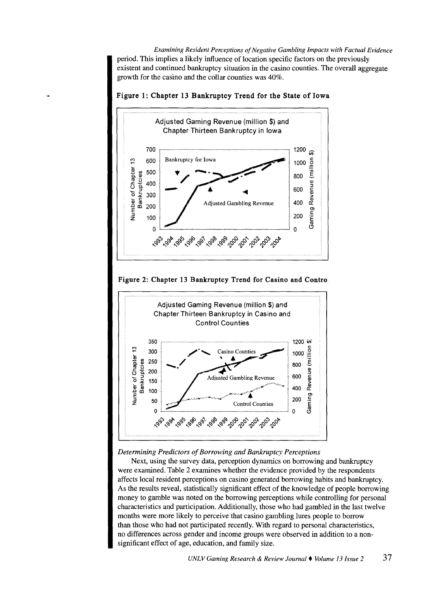*Examining Resident Perceptions of Negative Gambling Impacts with Factual Evidence*  period. This implies a likely influence of location specific factors on the previously existent and continued bankruptcy situation in the casino counties. The overall aggregate growth for the casino and the collar counties was 40%.

Adjusted Gaming Revenue (million \$) and Chapter Thirteen Bankruptcy in Iowa 700 ,.----,---~-,,~~-"'"~--~~-----~,~-~ 600 Bankruptcy for Iowa .... 효 s 500  $5 \frac{2}{9}$  400 하 1<br>- 음료 300<br>- 음료 200 ~ 100 Adjusted Gambling Revenue 0 ~----------------------------~ 1200  $\widehat{\Theta}$ ¢ء<br>-ِ <sup>1000</sup>Q *BOO* I anueve 600 400  $\mathfrak{r}$ 0) 200 m  $\mathbf 0$ 

Figure 1: Chapter 13 Bankruptcy Trend for the State of Iowa

**Figure 2: Chapter 13 Bankruptcy Trend for Casino and Contro.** 



*Detennining Predictors of Borrowing and Bankruptcy Perceptions* 

Next, using the survey data, perception dynamics on borrowing and bankruptcy were examined. Table 2 examines whether the evidence provided by the respondents affects local resident perceptions on casino generated borrowing habits and bankruptcy. As the results reveal, statistically significant effect of the knowledge of people borrowing money to gamble was noted on the borrowing perceptions while controlling for personal characteristics and participation. Additionally, those who had gambled in the last twelve months were more likely to perceive that casino gambling lures people to borrow than those who had not participated recently. With regard to personal characteristics, no differences across gender and income groups were observed in addition to a nonsignificant effect of age, education, and family size.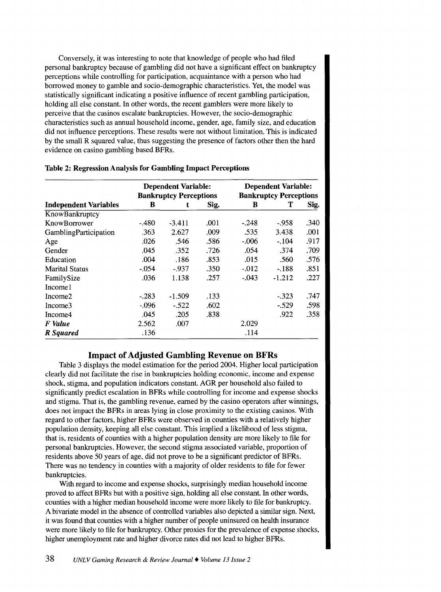Conversely, it was interesting to note that knowledge of people who had filed personal bankruptcy because of gambling did not have a significant effect on bankruptcy perceptions while controlling for participation, acquaintance with a person who had borrowed money to gamble and socio-demographic characteristics. Yet, the model was statistically significant indicating a positive influence of recent gambling participation, holding all else constant. In other words, the recent gamblers were more likely to perceive that the casinos escalate bankruptcies. However, the socio-demographic characteristics such as annual household income, gender, age, family size, and education did not influence perceptions. These results were not without limitation. This is indicated by the small R squared value, thus suggesting the presence of factors other then the hard evidence on casino gambling based BFRs.

|                              |         | <b>Dependent Variable:</b><br><b>Bankruptcy Perceptions</b> | <b>Dependent Variable:</b><br><b>Bankruptcy Perceptions</b> |          |          |      |  |
|------------------------------|---------|-------------------------------------------------------------|-------------------------------------------------------------|----------|----------|------|--|
| <b>Independent Variables</b> | в       | t                                                           | Sig.                                                        | B        | т        | Sig. |  |
| KnowBankruptcy               |         |                                                             |                                                             |          |          |      |  |
| KnowBorrower                 | $-.480$ | $-3.411$                                                    | .001                                                        | -.248    | $-958$   | .340 |  |
| GamblingParticipation        | .363    | 2.627                                                       | .009                                                        | .535     | 3.438    | .001 |  |
| Age                          | .026    | .546                                                        | .586                                                        | $-.006$  | $-.104$  | .917 |  |
| Gender                       | .045    | .352                                                        | .726                                                        | .054     | .374     | .709 |  |
| Education                    | .004    | .186                                                        | .853                                                        | .015     | .560     | .576 |  |
| <b>Marital Status</b>        | $-0.54$ | $-937$                                                      | .350                                                        | $-0.012$ | $-.188$  | .851 |  |
| FamilySize                   | .036    | 1.138                                                       | .257                                                        | $-.043$  | $-1.212$ | .227 |  |
| Income1                      |         |                                                             |                                                             |          |          |      |  |
| Income <sub>2</sub>          | $-.283$ | $-1.509$                                                    | .133                                                        |          | $-.323$  | .747 |  |
| Income3                      | $-.096$ | $-522$                                                      | .602                                                        |          | $-.529$  | .598 |  |
| Income4                      | .045    | .205                                                        | .838                                                        |          | .922     | .358 |  |
| F Value                      | 2.562   | .007                                                        |                                                             | 2.029    |          |      |  |
| R Squared                    | .136    |                                                             |                                                             | .114     |          |      |  |

#### Table 2: Regression Analysis for Gambling Impact Perceptions

## Impact of Adjusted Gambling Revenue on BFRs

Table 3 displays the model estimation for the period 2004. Higher local participation clearly did not facilitate the rise in bankruptcies holding economic, income and expense shock, stigma, and population indicators constant. AGR per household also failed to significantly predict escalation in BFRs while controlling for income and expense shocks and stigma. That is, the gambling revenue, earned by the casino operators after winnings, does not impact the BFRs in areas lying in close proximity to the existing casinos. With regard to other factors, higher BFRs were observed in counties with a relatively higher population density, keeping all else constant. This implied a likelihood of less stigma, that is, residents of counties with a higher population density are more likely to file for personal bankruptcies. However, the second stigma associated variable, proportion of residents above 50 years of age, did not prove to be a significant predictor of BFRs. There was no tendency in counties with a majority of older residents to file for fewer bankruptcies.

With regard to income and expense shocks, surprisingly median household income proved to affect BFRs but with a positive sign, holding all else constant. In other words, counties with a higher median household income were more likely to file for bankruptcy. A bivariate model in the absence of controlled variables also depicted a similar sign. Next, it was found that counties with a higher number of people uninsured on health insurance were more likely to file for bankruptcy. Other proxies for the prevalence of expense shocks, higher unemployment rate and higher divorce rates did not lead to higher BFRs.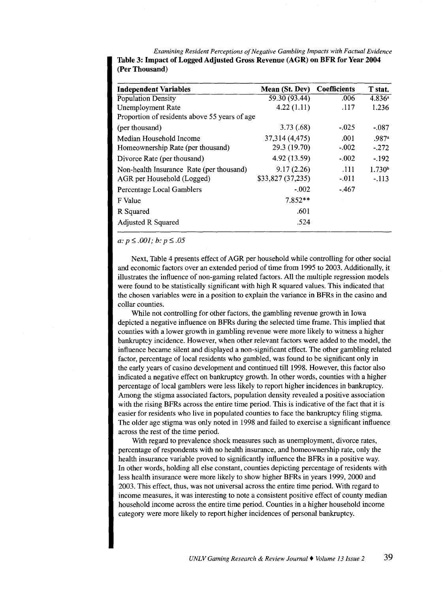*Examining Resident Perceptions of Negative Gambling Impacts with Factual Evidence*  Table 3: Impact of Logged Adjusted Gross Revenue (AGR) on BFR for Year 2004 (Per Thousand)

| <b>Independent Variables</b>                  | Mean (St. Dev) Coefficients |         | T stat.            |
|-----------------------------------------------|-----------------------------|---------|--------------------|
| <b>Population Density</b>                     | 59.30 (93.44)               | .006    | $4.836^a$          |
| Unemployment Rate                             | 4.22(1.11)                  | .117    | 1.236              |
| Proportion of residents above 55 years of age |                             |         |                    |
| (per thousand)                                | 3.73(0.68)                  | $-.025$ | $-.087$            |
| Median Household Income                       | 37, 314 (4, 475)            | .001    | .987a              |
| Homeownership Rate (per thousand)             | 29.3 (19.70)                | $-.002$ | $-.272$            |
| Divorce Rate (per thousand)                   | 4.92 (13.59)                | $-.002$ | $-192$             |
| Non-health Insurance Rate (per thousand)      | 9.17(2.26)                  | .111    | 1.730 <sup>b</sup> |
| AGR per Household (Logged)                    | \$33,827 (37,235)           | $-.011$ | $-113$             |
| Percentage Local Gamblers                     | $-.002$                     | $-.467$ |                    |
| F Value                                       | $7.852**$                   |         |                    |
| R Squared                                     | .601                        |         |                    |
| Adjusted R Squared                            | .524                        |         |                    |

 $a: p \leq .001$ ;  $b: p \leq .05$ 

Next, Table 4 presents effect of AGR per household while controlling for other social and economic factors over an extended period of time from 1995 to 2003. Additionally, it illustrates the influence of non-gaming related factors. All the multiple regression models were found to be statistically significant with high R squared values. This indicated that the chosen variables were in a position to explain the variance in BFRs in the casino and collar counties.

While not controlling for other factors, the gambling revenue growth in Iowa depicted a negative influence on BFRs during the selected time frame. This implied that counties with a lower growth in gambling revenue were more likely to witness a higher bankruptcy incidence. However, when other relevant factors were added to the model, the influence became silent and displayed a non-significant effect. The other gambling related factor, percentage of local residents who gambled, was found to be significant only in the early years of casino development and continued till 1998. However, this factor also indicated a negative effect on bankruptcy growth. In other words, counties with a higher percentage of local gamblers were less likely to report higher incidences in bankruptcy. Among the stigma associated factors, population density revealed a positive association with the rising BFRs across the entire time period. This is indicative of the fact that it is easier for residents who live in populated counties to face the bankruptcy filing stigma. The older age stigma was only noted in 1998 and failed to exercise a significant influence across the rest of the time period.

With regard to prevalence shock measures such as unemployment, divorce rates, percentage of respondents with no health insurance, and homeownership rate, only the health insurance variable proved to significantly influence the BFRs in a positive way. In other words, holding all else constant, counties depicting percentage of residents with less health insurance were more likely to show higher BFRs in years 1999, 2000 and 2003. This effect, thus, was not universal across the entire time period. With regard to income measures, it was interesting to note a consistent positive effect of county median household income across the entire time period. Counties in a higher household income category were more likely to report higher incidences of personal bankruptcy.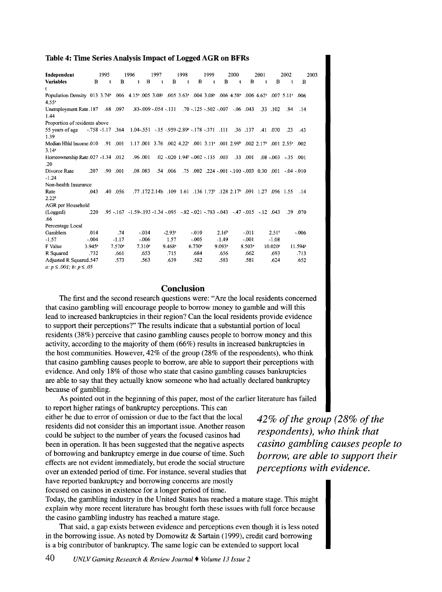#### Table 4: Time Series Analysis Impact of Logged AGR on BFRs

| Independent                                                                                                                                                                                            | 1995 |                      | 1996                                                                                                                              | 1997 |                      | 1998                                               |         | 1999         |                      | 2000                                                   |                      | 2001         |                         | 2002        |           | 2003 |
|--------------------------------------------------------------------------------------------------------------------------------------------------------------------------------------------------------|------|----------------------|-----------------------------------------------------------------------------------------------------------------------------------|------|----------------------|----------------------------------------------------|---------|--------------|----------------------|--------------------------------------------------------|----------------------|--------------|-------------------------|-------------|-----------|------|
| <b>Variables</b><br>B                                                                                                                                                                                  | t    | $\overline{B}$       | B<br>t                                                                                                                            | t    | B                    | $\mathbf{t}$                                       | B       | $\mathbf{t}$ | B                    | $\mathbf{t}$                                           | B                    | $\mathbf{t}$ | B                       | $\mathbf t$ | B         |      |
| t                                                                                                                                                                                                      |      |                      |                                                                                                                                   |      |                      |                                                    |         |              |                      |                                                        |                      |              |                         |             |           |      |
| Population Density 013 3.74 <sup>a</sup> 006 4.15 <sup>a</sup> 005 3.08 <sup>a</sup> 005 3.63 <sup>a</sup> 004 3.08 <sup>a</sup> 006 4.58 <sup>a</sup> 006 4.62 <sup>a</sup> 007 5.11 <sup>a</sup> 006 |      |                      |                                                                                                                                   |      |                      |                                                    |         |              |                      |                                                        |                      |              |                         |             |           |      |
| $4.55^a$                                                                                                                                                                                               |      |                      |                                                                                                                                   |      |                      |                                                    |         |              |                      |                                                        |                      |              |                         |             |           |      |
| Unemployment Rate 187<br>1.44                                                                                                                                                                          |      | .68 .097             | $.83-009$ $-.054$ $-.131$ $.70$ $-.125$ $-.502$ $-.007$ $-.06$ $.043$                                                             |      |                      |                                                    |         |              |                      |                                                        |                      |              | $.33 \t .102$           | .94         | .14       |      |
| Proportion of residents above                                                                                                                                                                          |      |                      |                                                                                                                                   |      |                      |                                                    |         |              |                      |                                                        |                      |              |                         |             |           |      |
| 55 years of age<br>1.39                                                                                                                                                                                |      |                      | $-758 - 1.17$ 364 1.04 - 551 - 15 - 959 - 2.89 - 178 - 371 111                                                                    |      |                      |                                                    |         |              |                      |                                                        | .36 .137             |              | .41 .070                | -23         | .43       |      |
| Median Hhld Income.010<br>3.14 <sup>a</sup>                                                                                                                                                            |      | .91 .001             | 1.17, 001 3.76, 002 4.22 $^{\circ}$ , 001 3.11 $^{\circ}$ , 001 2.99 $^{\circ}$ , 002 2.17 $^{\circ}$ , 001 2.55 $^{\circ}$ , 002 |      |                      |                                                    |         |              |                      |                                                        |                      |              |                         |             |           |      |
| Homeownership Rate 027 - 1.34 012                                                                                                                                                                      |      |                      | .96.001                                                                                                                           |      |                      | $.02 - .020$ 1.94 <sup>b</sup> $-.002 - .135$ .003 |         |              |                      |                                                        | .33 .001             |              | $.08 - .003 - .35$ .001 |             |           |      |
| .20                                                                                                                                                                                                    |      |                      |                                                                                                                                   |      |                      |                                                    |         |              |                      |                                                        |                      |              |                         |             |           |      |
| .207<br>Divorce Rate                                                                                                                                                                                   |      | .90 .001             | .08.083                                                                                                                           |      | .54 .006             |                                                    |         |              |                      | .010 - 04. 001 - 001 - 001 - 001 - 001 - 024. 002. 75. |                      |              |                         |             |           |      |
| $-1.24$                                                                                                                                                                                                |      |                      |                                                                                                                                   |      |                      |                                                    |         |              |                      |                                                        |                      |              |                         |             |           |      |
| Non-health Insurance                                                                                                                                                                                   |      |                      |                                                                                                                                   |      |                      |                                                    |         |              |                      |                                                        |                      |              |                         |             |           |      |
| .043<br>Rate<br>2.22 <sup>b</sup>                                                                                                                                                                      | .40  | .056                 | .1.55 096. 1.27 096 0.57. 1.28 1.73 1.28 1.73 1.28 1.17 1.72 1.72 1.77. 77.                                                       |      |                      |                                                    |         |              |                      |                                                        |                      |              |                         |             | .14       |      |
| AGR per Household                                                                                                                                                                                      |      |                      |                                                                                                                                   |      |                      |                                                    |         |              |                      |                                                        |                      |              |                         |             |           |      |
| (Logged)<br>.220<br>.66                                                                                                                                                                                |      |                      | $.95 - .167 - 1.59 - .193 - 1.34 - .095 - .82 - .021 - .783 - .043 - .47 - .015 - .12$                                            |      |                      |                                                    |         |              |                      |                                                        |                      |              |                         |             | .39 .070  |      |
| Percentage Local                                                                                                                                                                                       |      |                      |                                                                                                                                   |      |                      |                                                    |         |              |                      |                                                        |                      |              |                         |             |           |      |
| Gamblers<br>.014                                                                                                                                                                                       |      | .74                  | $-014$                                                                                                                            |      | $-2.93$ <sup>a</sup> |                                                    | $-.010$ |              | 2.16 <sup>b</sup>    |                                                        | $-.011$              |              | 2.51 <sup>b</sup>       |             | $-.006$   |      |
| $-1.57$<br>$-.004$                                                                                                                                                                                     |      | $-1.17$              | $-.006$                                                                                                                           |      | 1.57                 |                                                    | $-.005$ |              | $-1.49$              |                                                        | $-.001$              |              | $-1.08$                 |             |           |      |
| F Value<br>$3.945^{\circ}$                                                                                                                                                                             |      | $7.570$ <sup>a</sup> | $7.310*$                                                                                                                          |      | $9.468$ <sup>a</sup> |                                                    | 6.730a  |              | $9.093$ <sup>a</sup> |                                                        | $8.503$ <sup>a</sup> |              | $10.020$ <sup>a</sup>   |             | $11.594*$ |      |
| R Squared<br>.732                                                                                                                                                                                      |      | .661                 | .653                                                                                                                              |      | .715                 |                                                    | .684    |              | .656                 |                                                        | .662                 |              | .693                    |             | .713      |      |
|                                                                                                                                                                                                        |      | .573                 | .563                                                                                                                              |      | .639                 |                                                    | .582    |              | .583                 |                                                        | .581                 |              | .624                    |             |           |      |
| Adjusted R Squared.547<br>.652                                                                                                                                                                         |      |                      |                                                                                                                                   |      |                      |                                                    |         |              |                      |                                                        |                      |              |                         |             |           |      |
| $a: p \le .001$ ; $b: p \le .05$                                                                                                                                                                       |      |                      |                                                                                                                                   |      |                      |                                                    |         |              |                      |                                                        |                      |              |                         |             |           |      |

# **Conclusion**

The first and the second research questions were: "Are the local residents concerned that casino gambling will encourage people to borrow money to gamble and will this lead to increased bankruptcies in their region? Can the local residents provide evidence to support their perceptions?" The results indicate that a substantial portion of local residents (38%) perceive that casino gambling causes people to borrow money and this activity, according to the majority of them ( 66%) results in increased bankruptcies in the host communities. However,  $42\%$  of the group (28% of the respondents), who think that casino gambling causes people to borrow, are able to support their perceptions with evidence. And only 18% of those who state that casino gambling causes bankruptcies are able to say that they actually know someone who had actually declared bankruptcy because of gambling.

As pointed out in the beginning of this paper, most of the earlier literature has failed to report higher ratings of bankruptcy perceptions. This can

either be due to error of omission or due to the fact that the local residents did not consider this an important issue. Another reason could be subject to the number of years the focused casinos had been in operation. It has been suggested that the negative aspects of borrowing and bankruptcy emerge in due course of time. Such effects are not evident immediately, but erode the social structure over an extended period of time. For instance, several studies that have reported bankruptcy and borrowing concerns are mostly focused on casinos in existence for a longer period of time.

Today, the gambling industry in the United States has reached a mature stage. This might explain why more recent literature has brought forth these issues with full force because the casino gambling industry has reached a mature stage.

That said, a gap exists between evidence and perceptions even though it is less noted in the borrowing issue. As noted by Domowitz & Sartain (1999), credit card borrowing is a big contributor of bankruptcy. The same logic can be extended to support local

*42% of the group (28% of the respondents), who think that casino gambling causes people to borrow, are able to support their perceptions with evidence.*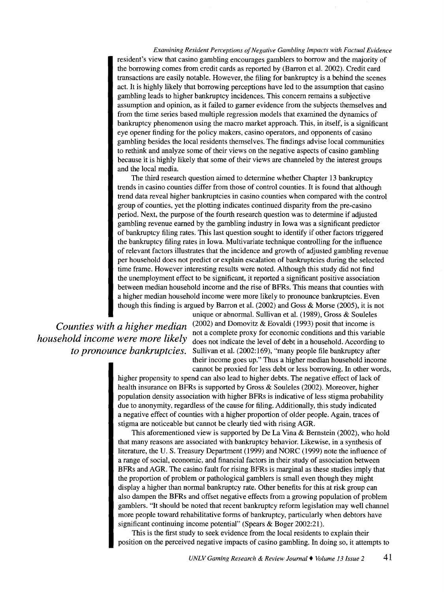*Examining Resident Perceptions of Negative Gambling Impacts with Factual Evidence*  resident's view that casino gambling encourages gamblers to borrow and the majority of the borrowing comes from credit cards as reported by (Barron et al. 2002). Credit card transactions are easily notable. However, the filing for bankruptcy is a behind the scenes act. It is highly likely that borrowing perceptions have led to the assumption that casino gambling leads to higher bankruptcy incidences. This concern remains a subjective assumption and opinion, as it failed to garner evidence from the subjects themselves and from the time series based multiple regression models that examined the dynamics of bankruptcy phenomenon using the macro market approach. This, in itself, is a significant eye opener finding for the policy makers, casino operators, and opponents of casino gambling besides the local residents themselves. The findings advise local communities to rethink and analyze some of their views on the negative aspects of casino gambling because it is highly likely that some of their views are channeled by the interest groups and the local media.

The third research question aimed to determine whether Chapter 13 bankruptcy trends in casino counties differ from those of control counties. It is found that although trend data reveal higher bankruptcies in casino counties when compared with the control group of counties, yet the plotting indicates continued disparity from the pre-casino period. Next, the purpose of the fourth research question was to determine if adjusted gambling revenue earned by the gambling industry in Iowa was a significant predictor of bankruptcy filing rates. This last question sought to identify if other factors triggered the bankruptcy filing rates in Iowa. Multivariate technique controlling for the influence of relevant factors illustrates that the incidence and growth of adjusted gambling revenue per household does not predict or explain escalation of bankruptcies during the selected time frame. However interesting results were noted. Although this study did not find the unemployment effect to be significant, it reported a significant positive association between median household income and the rise of BFRs. This means that counties with a higher median household income were more likely to pronounce bankruptcies. Even though this finding is argued by Barron et al. (2002) and Goss & Morse (2005), it is not

unique or abnormal. Sullivan et al. (1989), Gross & Souleles *Counties with a higher median* (2002) and Domovitz & Eovaldi (1993) posit that income is not a complete proxy for economic conditions and this variable *household income were more likely* does not indicate the level of debt in a household. According to *to pronounce bankruptcies.* Sullivan et al. (2002:169), "many people file bankruptcy after their income goes up." Thus a higher median household income cannot be proxied for less debt or less borrowing. In other words,

> higher propensity to spend can also lead to higher debts. The negative effect of lack of health insurance on BFRs is supported by Gross & Souleles (2002). Moreover, higher population density association with higher BFRs is indicative of less stigma probability due to anonymity, regardless of the cause for filing. Additionally, this study indicated a negative effect of counties with a higher proportion of older people. Again, traces of stigma are noticeable but cannot be clearly tied with rising AGR.

> This aforementioned view is supported by De La Vina  $\&$  Bernstein (2002), who hold that many reasons are associated with bankruptcy behavior. Likewise, in a synthesis of literature, the U.S. Treasury Department (1999) and NORC (1999) note the influence of a range of social, economic, and financial factors in their study of association between BFRs and AGR. The casino fault for rising BFRs is marginal as these studies imply that the proportion of problem or pathological gamblers is small even though they might display a higher than normal bankruptcy rate. Other benefits for this at risk group can also dampen the BFRs and offset negative effects from a growing population of problem gamblers. "It should be noted that recent bankruptcy reform legislation may well channel more people toward rehabilitative forms of bankruptcy, particularly when debtors have significant continuing income potential" (Spears & Boger 2002:21).

> This is the first study to seek evidence from the local residents to explain their position on the perceived negative impacts of casino gambling. In doing so, it attempts to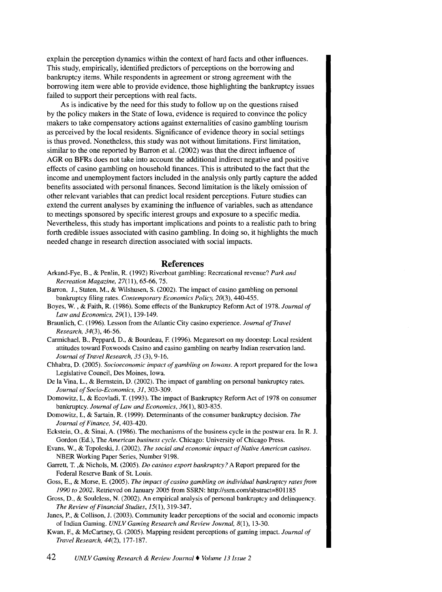explain the perception dynamics within the context of hard facts and other influences. This study, empirically, identified predictors of perceptions on the borrowing and bankruptcy items. While respondents in agreement or strong agreement with the borrowing item were able to provide evidence, those highlighting the bankruptcy issues failed to support their perceptions with real facts.

As is indicative by the need for this study to follow up on the questions raised by the policy makers in the State of Iowa, evidence is required to convince the policy makers to take compensatory actions against externalities of casino gambling tourism as perceived by the local residents. Significance of evidence theory in social settings is thus proved. Nonetheless, this study was not without limitations. First limitation, similar to the one reported by Barron et al. (2002) was that the direct influence of AGR on BFRs does not take into account the additional indirect negative and positive effects of casino gambling on household finances. This is attributed to the fact that the income and unemployment factors included in the analysis only partly capture the added benefits associated with personal finances. Second limitation is the likely omission of other relevant variables that can predict local resident perceptions. Future studies can extend the current analyses by examining the influence of variables, such as attendance to meetings sponsored by specific interest groups and exposure to a specific media. Nevertheless, this study has important implications and points to a realistic path to bring forth credible issues associated with casino gambling. In doing so, it highlights the much needed change in research direction associated with social impacts.

#### **References**

- Arkand-Fye, B., & Penlin, R. (1992) Riverboat gambling: Recreational revenue? *Park and Recreation Magazine,* 27(11), 65-66, 75.
- Barron, J., Staten, M., & Wilshusen, S. (2002). The impact of casino gambling on personal bankruptcy filing rates. *Contemporary Economics Policy,* 20(3), 440-455.
- Boyes, W., & Faith, R. (1986). Some effects of the Bankruptcy Reform Act of 1978. *Journal of Law and Economics,* 29(1), 139-149.
- Braunlich, C. (1996). Lesson from the Atlantic City casino experience. *Journal of Travel Research, 34(3),* 46-56.
- Carmichael, B., Peppard, D., & Bourdeau, F. (1996). Megaresort on my doorstep: Local resident attitudes toward Foxwoods Casino and casino gambling on nearby Indian reservation land. *Journal ofTravel Research, 35* (3), 9-16.
- Chhabra, D. (2005). *Socioeconomic impact of gambling on Iowans.* A report prepared for the Iowa Legislative Council, Des Moines, Iowa.
- De laVina, L., & Bernstein, D. (2002). The impact of gambling on personal bankruptcy rates. *Journal of Socio-Economics, 31,* 303-309.
- Domowitz, I., & Ecovladi, T. (1993). The impact of Bankruptcy Reform Act of 1978 on consumer bankruptcy. *Journal of Law and Economics,* 36(1), 803-835.
- Domowitz, I., & Sartain, R. ( 1999). Determinants of the consumer bankruptcy decision. *The Journal of Finance, 54,* 403-420.
- Eckstein, 0., & Sinai, A. (1986). The mechanisms of the business cycle in the postwar era. In R. J. Gordon (Ed.), The *American business cycle.* Chicago: University of Chicago Press.
- Evans, W., & Topoleski, J. (2002). *The social and economic impact of Native American casinos.*  NBER Working Paper Series, Number 9198.
- Garrett, T. ,& Nichols, M. (2005). *Do casinos export bankruptcy?* A Report prepared for the Federal Reserve Bank of St. Louis.
- Goss, E., & Morse, E. (2005). *The impact of casino gambling on individual bankruptcy rates from 1990 to 2002.* Retrieved on January 2005 from SSRN: http://ssm.com/abstract=801185
- Gross, D., & Souleless, N. (2002). An empirical analysis of personal bankruptcy and delinquency. *The Review of Financial Studies,* 15(1), 319-347.
- Janes, P., & Collison, J. (2003). Community leader perceptions of the social and economic impacts of Indian Gaming. *UNLV Gaming Research and Review Journal,* 8(1), 13-30.
- Kwan, F., & McCartney, G. (2005). Mapping resident perceptions of gaming impact. *Journal of Travel Research, 44(2),* 177-187.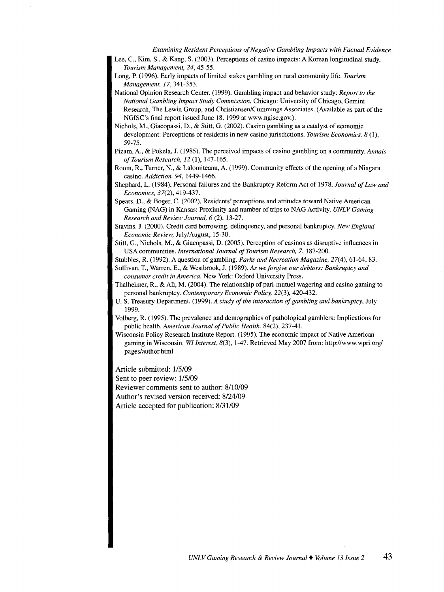*Examining Resident Perceptions of Negative Gambling Impacts with Factual Evidence* 

Lee, C., Kim, S., & Kang, S. (2003). Perceptions of casino impacts: A Korean longitudinal study. *Tourism Management, 24,* 45-55.

- Long, P. (1996). Early impacts of limited stakes gambling on rural community life. *Tourism Management, 17,* 341-353.
- National Opinion Research Center. (1999). Gambling impact and behavior study: *Report to the National Gambling Impact Study Commission,* Chicago: University of Chicago, Gemini Research, The Lewin Group, and Christiansen/Cummings Associates. (Available as part of the NGISC's final report issued June 18, 1999 at www.ngisc.gov.).

Nichols, M., Giacopassi, D., & Stitt, G. (2002). Casino gambling as a catalyst of economic development: Perceptions of residents in new casino jurisdictions. *Tourism Economics, 8* (I), 59-75.

- Pizam, A., & Pokela, J. (1985). The perceived impacts of casino gambling on a community. *Annals ofTourismResearch, 12* (1), 147-165.
- Room, R., Turner, N., & Lalomiteanu, A. (1999). Community effects of the opening of a Niagara casino. *Addiction, 94,* 1449-1466.
- Shephard, L. (1984). Personal failures and the Bankruptcy Reform Act of 1978. *Journal of Law and Economics,* 37(2), 419-437.
- Spears, D., & Boger, C. (2002). Residents' perceptions and attitudes toward Native American Gaming (NAG) in Kansas: Proximity and number of trips to NAG Activity. *UNLV Gaming Research and Review Journal, 6* (2), 13-27.
- Stavins, J. (2000). Credit card borrowing, delinquency, and personal bankruptcy. *New England Economic Review,* July/August, 15-30.
- Stitt, G., Nichols, M., & Giacopassi, D. (2005). Perception of casinos as disruptive influences in USA communities. *International Journal of Tourism Research,* 7, 187-200.

Stubbles, R. (1992). A question of gambling. *Parks and Recreation Magazine,* 27(4), 61-64, 83.

- Sullivan, T., Warren, E., & Westbrook, J. (1989). *As we forgive our debtors: Bankruptcy and consumer credit in America.* New York: Oxford University Press.
- Thalheimer, R., & Ali, M. (2004). The relationship of pari-mutuel wagering and casino gaming to personal bankruptcy. *Contemporary Economic Policy,* 22(3), 420-432.
- U. S. Treasury Department. ( 1999). *A study of the interaction of gambling and bankruptcy,* July 1999.
- Volberg, R. ( 1995). The prevalence and demographics of pathological gamblers: Implications for public health. *American Journal of Public Health,* 84(2), 237-41.
- Wisconsin Policy Research Institute Report. ( 1995). The economic impact of Native American gaming in Wisconsin. *WI Interest,* 8(3), 1-47. Retrieved May 2007 from: http://www.wpri.org/ pages/author.html

Article submitted: 1/5/09

Sent to peer review:  $1/5/09$ 

Reviewer comments sent to author: 8/10/09

Author's revised version received: 8/24/09

Article accepted for publication: 8/31109